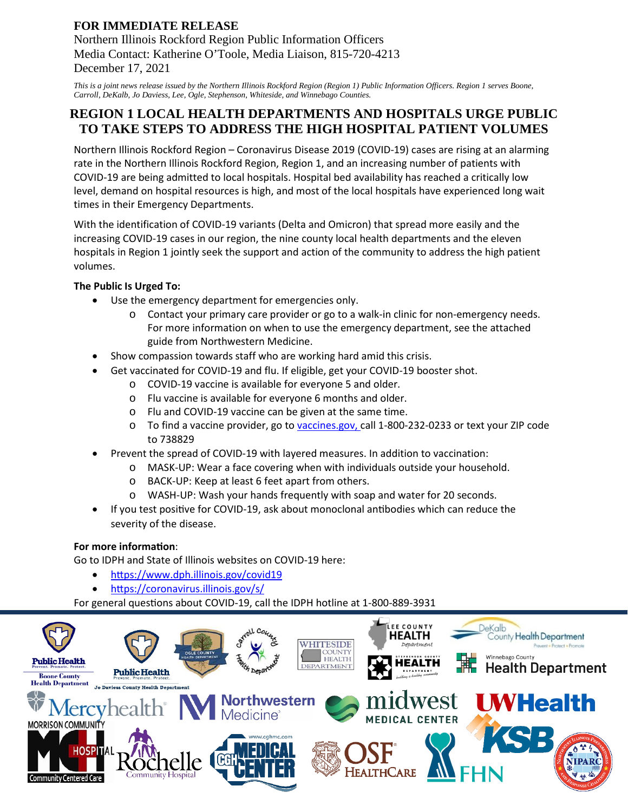# **FOR IMMEDIATE RELEASE**

Northern Illinois Rockford Region Public Information Officers Media Contact: Katherine O'Toole, Media Liaison, 815-720-4213 December 17, 2021

*This is a joint news release issued by the Northern Illinois Rockford Region (Region 1) Public Information Officers. Region 1 serves Boone, Carroll, DeKalb, Jo Daviess, Lee, Ogle, Stephenson, Whiteside, and Winnebago Counties.*

# **REGION 1 LOCAL HEALTH DEPARTMENTS AND HOSPITALS URGE PUBLIC TO TAKE STEPS TO ADDRESS THE HIGH HOSPITAL PATIENT VOLUMES**

Northern Illinois Rockford Region – Coronavirus Disease 2019 (COVID-19) cases are rising at an alarming rate in the Northern Illinois Rockford Region, Region 1, and an increasing number of patients with COVID-19 are being admitted to local hospitals. Hospital bed availability has reached a critically low level, demand on hospital resources is high, and most of the local hospitals have experienced long wait times in their Emergency Departments.

With the identification of COVID-19 variants (Delta and Omicron) that spread more easily and the increasing COVID-19 cases in our region, the nine county local health departments and the eleven hospitals in Region 1 jointly seek the support and action of the community to address the high patient volumes.

# **The Public Is Urged To:**

- Use the emergency department for emergencies only.
	- o Contact your primary care provider or go to a walk-in clinic for non-emergency needs. For more information on when to use the emergency department, see the attached guide from Northwestern Medicine.
- Show compassion towards staff who are working hard amid this crisis.
	- Get vaccinated for COVID-19 and flu. If eligible, get your COVID-19 booster shot.
		- o COVID-19 vaccine is available for everyone 5 and older.
			- o Flu vaccine is available for everyone 6 months and older.
			- o Flu and COVID-19 vaccine can be given at the same time.
			- o To find a vaccine provider, go to vaccines.gov, call 1-800-232-0233 or text your ZIP code to 738829
- Prevent the spread of COVID-19 with layered measures. In addition to vaccination:
	- o MASK-UP: Wear a face covering when with individuals outside your household.
	- o BACK-UP: Keep at least 6 feet apart from others.
	- WASH-UP: Wash your hands frequently with soap and water for 20 seconds.
- If you test positive for COVID-19, ask about monoclonal antibodies which can reduce the severity of the disease.

### **For more information:**

Go to IDPH and State of Illinois websites on COVID-19 here:

- https://www.dph.illinois.gov/covid19
- htps://coronavirus.illinois.gov/s/

For general questions about COVID-19, call the IDPH hotline at 1-800-889-3931